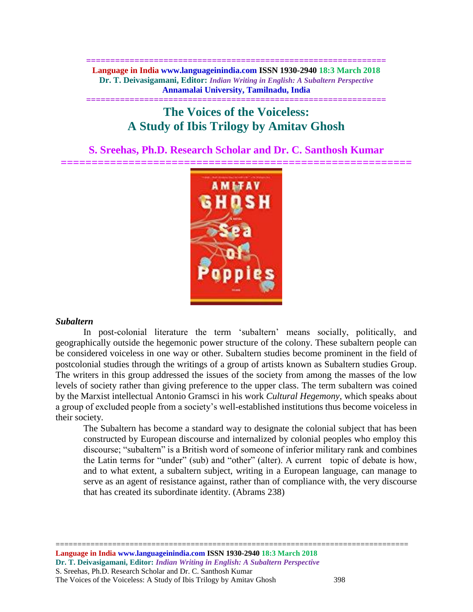**============================================================== Language in India www.languageinindia.com ISSN 1930-2940 18:3 March 2018 Dr. T. Deivasigamani, Editor:** *Indian Writing in English: A Subaltern Perspective* **Annamalai University, Tamilnadu, India**

# **============================================================== The Voices of the Voiceless: A Study of Ibis Trilogy by Amitav Ghosh**

**S. Sreehas, Ph.D. Research Scholar and Dr. C. Santhosh Kumar**



#### *Subaltern*

In post-colonial literature the term 'subaltern' means socially, politically, and geographically outside the hegemonic power structure of the colony. These subaltern people can be considered voiceless in one way or other. Subaltern studies become prominent in the field of postcolonial studies through the writings of a group of artists known as Subaltern studies Group. The writers in this group addressed the issues of the society from among the masses of the low levels of society rather than giving preference to the upper class. The term subaltern was coined by the Marxist intellectual Antonio Gramsci in his work *Cultural Hegemony*, which speaks about a group of excluded people from a society's well-established institutions thus become voiceless in their society.

The Subaltern has become a standard way to designate the colonial subject that has been constructed by European discourse and internalized by colonial peoples who employ this discourse; "subaltern" is a British word of someone of inferior military rank and combines the Latin terms for "under" (sub) and "other" (alter). A current topic of debate is how, and to what extent, a subaltern subject, writing in a European language, can manage to serve as an agent of resistance against, rather than of compliance with, the very discourse that has created its subordinate identity. (Abrams 238)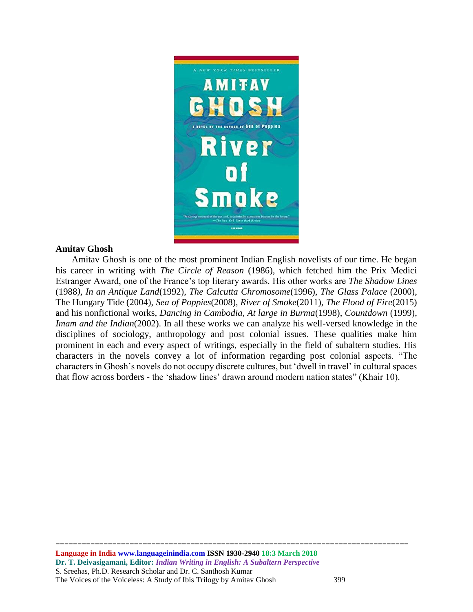

#### **Amitav Ghosh**

 Amitav Ghosh is one of the most prominent Indian English novelists of our time. He began his career in writing with *The Circle of Reason* (1986), which fetched him the Prix Medici Estranger Award, one of the France's top literary awards. His other works are *The Shadow Lines* (1988*), In an Antique Land*(1992), *The Calcutta Chromosome*(1996), *The Glass Palace* (2000), The Hungary Tide (2004), *Sea of Poppies*(2008), *River of Smoke*(2011), *The Flood of Fire*(2015) and his nonfictional works, *Dancing in Cambodia, At large in Burma*(1998), *Countdown* (1999), *Imam and the Indian*(2002). In all these works we can analyze his well-versed knowledge in the disciplines of sociology, anthropology and post colonial issues. These qualities make him prominent in each and every aspect of writings, especially in the field of subaltern studies. His characters in the novels convey a lot of information regarding post colonial aspects. "The characters in Ghosh's novels do not occupy discrete cultures, but 'dwell in travel' in cultural spaces that flow across borders - the 'shadow lines' drawn around modern nation states" (Khair 10).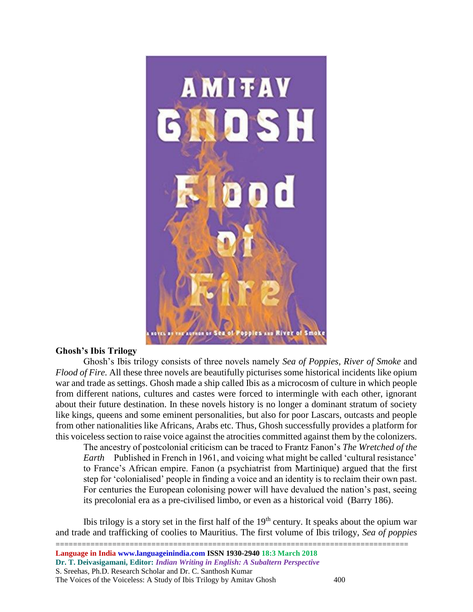

#### **Ghosh's Ibis Trilogy**

Ghosh's Ibis trilogy consists of three novels namely *Sea of Poppies, River of Smoke* and *Flood of Fire.* All these three novels are beautifully picturises some historical incidents like opium war and trade as settings. Ghosh made a ship called Ibis as a microcosm of culture in which people from different nations, cultures and castes were forced to intermingle with each other, ignorant about their future destination. In these novels history is no longer a dominant stratum of society like kings, queens and some eminent personalities, but also for poor Lascars, outcasts and people from other nationalities like Africans, Arabs etc. Thus, Ghosh successfully provides a platform for this voiceless section to raise voice against the atrocities committed against them by the colonizers.

The ancestry of postcolonial criticism can be traced to Frantz Fanon's *The Wretched of the Earth* Published in French in 1961, and voicing what might be called 'cultural resistance' to France's African empire. Fanon (a psychiatrist from Martinique) argued that the first step for 'colonialised' people in finding a voice and an identity is to reclaim their own past. For centuries the European colonising power will have devalued the nation's past, seeing its precolonial era as a pre-civilised limbo, or even as a historical void (Barry 186).

Ibis trilogy is a story set in the first half of the  $19<sup>th</sup>$  century. It speaks about the opium war and trade and trafficking of coolies to Mauritius. The first volume of Ibis trilogy, *Sea of poppies*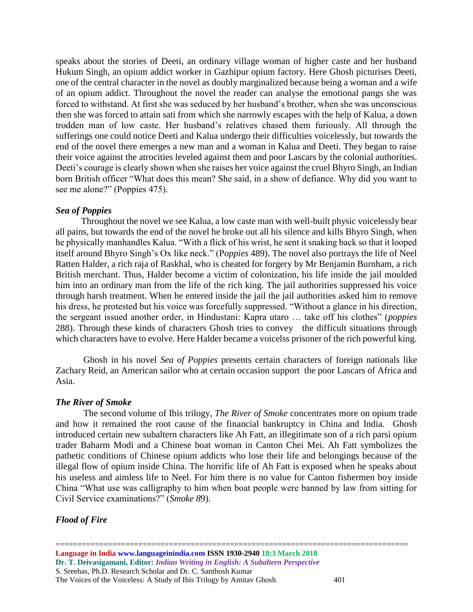speaks about the stories of Deeti, an ordinary village woman of higher caste and her husband Hukum Singh, an opium addict worker in Gazhipur opium factory. Here Ghosh picturises Deeti, one of the central character in the novel as doubly marginalized because being a woman and a wife of an opium addict. Throughout the novel the reader can analyse the emotional pangs she was forced to withstand. At first she was seduced by her husband's brother, when she was unconscious then she was forced to attain sati from which she narrowly escapes with the help of Kalua, a down trodden man of low caste. Her husband's relatives chased them furiously. All through the sufferings one could notice Deeti and Kalua undergo their difficulties voicelessly, but towards the end of the novel there emerges a new man and a woman in Kalua and Deeti. They began to raise their voice against the atrocities leveled against them and poor Lascars by the colonial authorities. Deeti's courage is clearly shown when she raises her voice against the cruel Bhyro Singh, an Indian born British officer "What does this mean? She said, in a show of defiance. Why did you want to see me alone?" (Poppies 475).

## *Sea of Poppies*

 Throughout the novel we see Kalua, a low caste man with well-built physic voicelessly bear all pains, but towards the end of the novel he broke out all his silence and kills Bhyro Singh, when he physically manhandles Kalua. "With a flick of his wrist, he sent it snaking back so that it looped itself around Bhyro Singh's Ox like neck." (P*oppies* 489). The novel also portrays the life of Neel Ratten Halder, a rich raja of Raskhal, who is cheated for forgery by Mr Benjamin Burnham, a rich British merchant. Thus, Halder become a victim of colonization, his life inside the jail moulded him into an ordinary man from the life of the rich king. The jail authorities suppressed his voice through harsh treatment. When he entered inside the jail the jail authorities asked him to remove his dress, he protested but his voice was forcefully suppressed. "Without a glance in his direction, the sergeant issued another order, in Hindustani: Kapra utaro … take off his clothes" (*poppies*  288). Through these kinds of characters Ghosh tries to convey the difficult situations through which characters have to evolve. Here Halder became a voicelss prisoner of the rich powerful king.

Ghosh in his novel *Sea of Poppies* presents certain characters of foreign nationals like Zachary Reid, an American sailor who at certain occasion support the poor Lascars of Africa and Asia.

#### *The River of Smoke*

The second volume of Ibis trilogy, *The River of Smoke* concentrates more on opium trade and how it remained the root cause of the financial bankruptcy in China and India. Ghosh introduced certain new subaltern characters like Ah Fatt, an illegitimate son of a rich parsi opium trader Baharm Modi and a Chinese boat woman in Canton Chei Mei. Ah Fatt symbolizes the pathetic conditions of Chinese opium addicts who lose their life and belongings because of the illegal flow of opium inside China. The horrific life of Ah Fatt is exposed when he speaks about his useless and aimless life to Neel. For him there is no value for Canton fishermen boy inside China "What use was calligraphy to him when boat people were banned by law from sitting for Civil Service examinations?" (*Smoke 8*9).

## *Flood of Fire*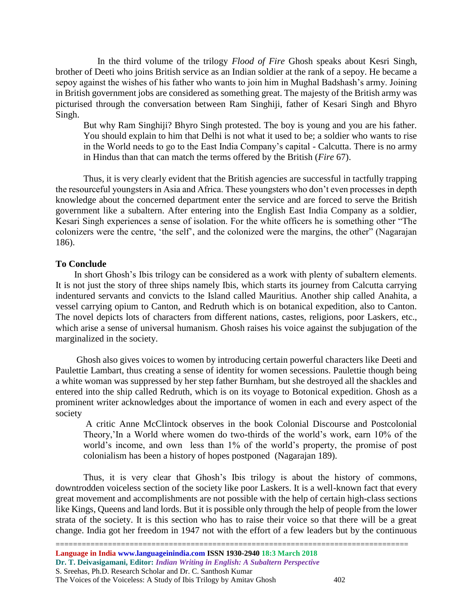In the third volume of the trilogy *Flood of Fire* Ghosh speaks about Kesri Singh, brother of Deeti who joins British service as an Indian soldier at the rank of a sepoy. He became a sepoy against the wishes of his father who wants to join him in Mughal Badshash's army. Joining in British government jobs are considered as something great. The majesty of the British army was picturised through the conversation between Ram Singhiji, father of Kesari Singh and Bhyro Singh.

But why Ram Singhiji? Bhyro Singh protested. The boy is young and you are his father. You should explain to him that Delhi is not what it used to be; a soldier who wants to rise in the World needs to go to the East India Company's capital - Calcutta. There is no army in Hindus than that can match the terms offered by the British (*Fire* 67).

Thus, it is very clearly evident that the British agencies are successful in tactfully trapping the resourceful youngsters in Asia and Africa. These youngsters who don't even processes in depth knowledge about the concerned department enter the service and are forced to serve the British government like a subaltern. After entering into the English East India Company as a soldier, Kesari Singh experiences a sense of isolation. For the white officers he is something other "The colonizers were the centre, 'the self', and the colonized were the margins, the other" (Nagarajan 186).

## **To Conclude**

 In short Ghosh's Ibis trilogy can be considered as a work with plenty of subaltern elements. It is not just the story of three ships namely Ibis, which starts its journey from Calcutta carrying indentured servants and convicts to the Island called Mauritius. Another ship called Anahita, a vessel carrying opium to Canton, and Redruth which is on botanical expedition, also to Canton. The novel depicts lots of characters from different nations, castes, religions, poor Laskers, etc., which arise a sense of universal humanism. Ghosh raises his voice against the subjugation of the marginalized in the society.

 Ghosh also gives voices to women by introducing certain powerful characters like Deeti and Paulettie Lambart, thus creating a sense of identity for women secessions. Paulettie though being a white woman was suppressed by her step father Burnham, but she destroyed all the shackles and entered into the ship called Redruth, which is on its voyage to Botonical expedition. Ghosh as a prominent writer acknowledges about the importance of women in each and every aspect of the society

A critic Anne McClintock observes in the book Colonial Discourse and Postcolonial Theory,'In a World where women do two-thirds of the world's work, earn 10% of the world's income, and own less than 1% of the world's property, the promise of post colonialism has been a history of hopes postponed (Nagarajan 189).

Thus, it is very clear that Ghosh's Ibis trilogy is about the history of commons, downtrodden voiceless section of the society like poor Laskers. It is a well-known fact that every great movement and accomplishments are not possible with the help of certain high-class sections like Kings, Queens and land lords. But it is possible only through the help of people from the lower strata of the society. It is this section who has to raise their voice so that there will be a great change. India got her freedom in 1947 not with the effort of a few leaders but by the continuous